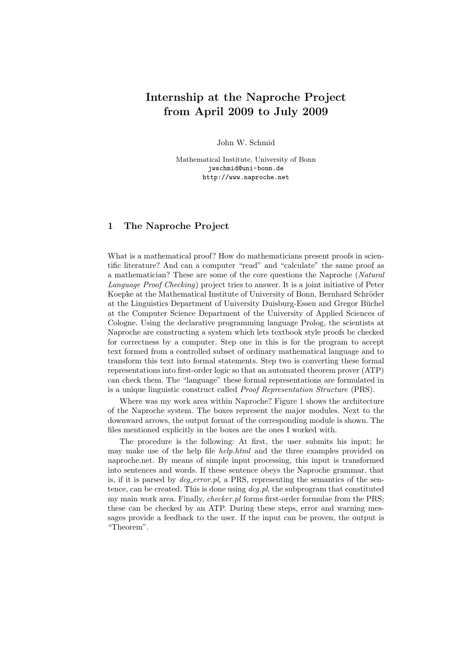# Internship at the Naproche Project from April 2009 to July 2009

John W. Schmid

Mathematical Institute, University of Bonn jwschmid@uni-bonn.de http://www.naproche.net

# 1 The Naproche Project

What is a mathematical proof? How do mathematicians present proofs in scientific literature? And can a computer "read" and "calculate" the same proof as a mathematician? These are some of the core questions the Naproche (Natural Language Proof Checking) project tries to answer. It is a joint initiative of Peter Koepke at the Mathematical Institute of University of Bonn, Bernhard Schröder at the Linguistics Department of University Duisburg-Essen and Gregor Büchel at the Computer Science Department of the University of Applied Sciences of Cologne. Using the declarative programming language Prolog, the scientists at Naproche are constructing a system which lets textbook style proofs be checked for correctness by a computer. Step one in this is for the program to accept text formed from a controlled subset of ordinary mathematical language and to transform this text into formal statements. Step two is converting these formal representations into first-order logic so that an automated theorem prover (ATP) can check them. The "language" these formal representations are formulated in is a unique linguistic construct called Proof Representation Structure (PRS).

Where was my work area within Naproche? Figure 1 shows the architecture of the Naproche system. The boxes represent the major modules. Next to the downward arrows, the output format of the corresponding module is shown. The files mentioned explicitly in the boxes are the ones I worked with.

The procedure is the following: At first, the user submits his input; he may make use of the help file *help.html* and the three examples provided on naproche.net. By means of simple input processing, this input is transformed into sentences and words. If these sentence obeys the Naproche grammar, that is, if it is parsed by  $deq_error.pl$ , a PRS, representing the semantics of the sentence, can be created. This is done using  $\deg pl$ , the subprogram that constituted my main work area. Finally, *checker.pl* forms first-order formulae from the PRS; these can be checked by an ATP. During these steps, error and warning messages provide a feedback to the user. If the input can be proven, the output is "Theorem".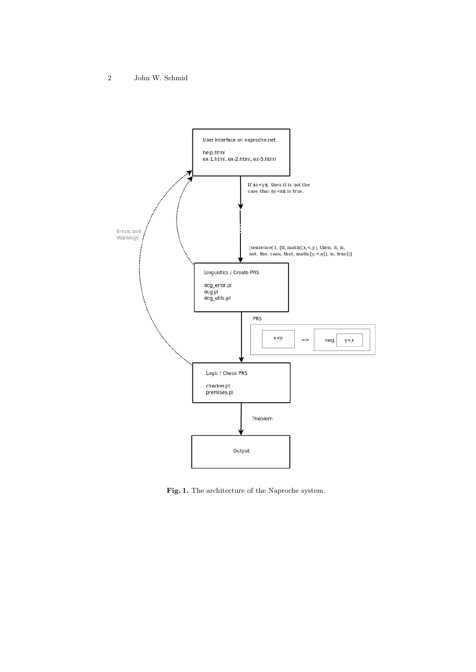

Fig. 1. The architecture of the Naproche system.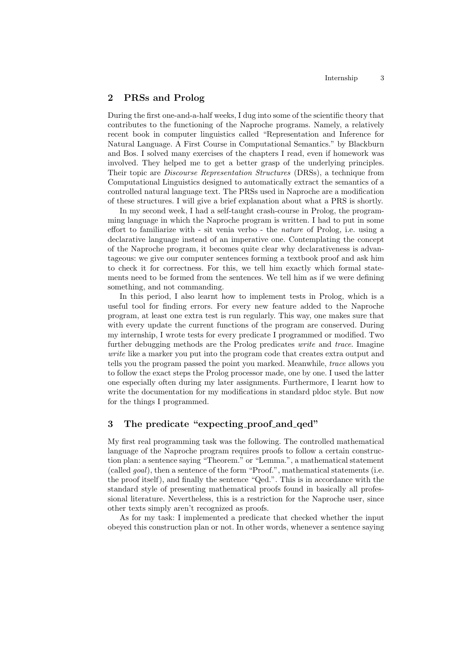## 2 PRSs and Prolog

During the first one-and-a-half weeks, I dug into some of the scientific theory that contributes to the functioning of the Naproche programs. Namely, a relatively recent book in computer linguistics called "Representation and Inference for Natural Language. A First Course in Computational Semantics." by Blackburn and Bos. I solved many exercises of the chapters I read, even if homework was involved. They helped me to get a better grasp of the underlying principles. Their topic are *Discourse Representation Structures* (DRSs), a technique from Computational Linguistics designed to automatically extract the semantics of a controlled natural language text. The PRSs used in Naproche are a modification of these structures. I will give a brief explanation about what a PRS is shortly.

In my second week, I had a self-taught crash-course in Prolog, the programming language in which the Naproche program is written. I had to put in some effort to familiarize with - sit venia verbo - the nature of Prolog, i.e. using a declarative language instead of an imperative one. Contemplating the concept of the Naproche program, it becomes quite clear why declarativeness is advantageous: we give our computer sentences forming a textbook proof and ask him to check it for correctness. For this, we tell him exactly which formal statements need to be formed from the sentences. We tell him as if we were defining something, and not commanding.

In this period, I also learnt how to implement tests in Prolog, which is a useful tool for finding errors. For every new feature added to the Naproche program, at least one extra test is run regularly. This way, one makes sure that with every update the current functions of the program are conserved. During my internship, I wrote tests for every predicate I programmed or modified. Two further debugging methods are the Prolog predicates write and trace. Imagine write like a marker you put into the program code that creates extra output and tells you the program passed the point you marked. Meanwhile, trace allows you to follow the exact steps the Prolog processor made, one by one. I used the latter one especially often during my later assignments. Furthermore, I learnt how to write the documentation for my modifications in standard pldoc style. But now for the things I programmed.

# 3 The predicate "expecting proof and qed"

My first real programming task was the following. The controlled mathematical language of the Naproche program requires proofs to follow a certain construction plan: a sentence saying "Theorem." or "Lemma.", a mathematical statement (called goal), then a sentence of the form "Proof.", mathematical statements (i.e. the proof itself), and finally the sentence "Qed.". This is in accordance with the standard style of presenting mathematical proofs found in basically all professional literature. Nevertheless, this is a restriction for the Naproche user, since other texts simply aren't recognized as proofs.

As for my task: I implemented a predicate that checked whether the input obeyed this construction plan or not. In other words, whenever a sentence saying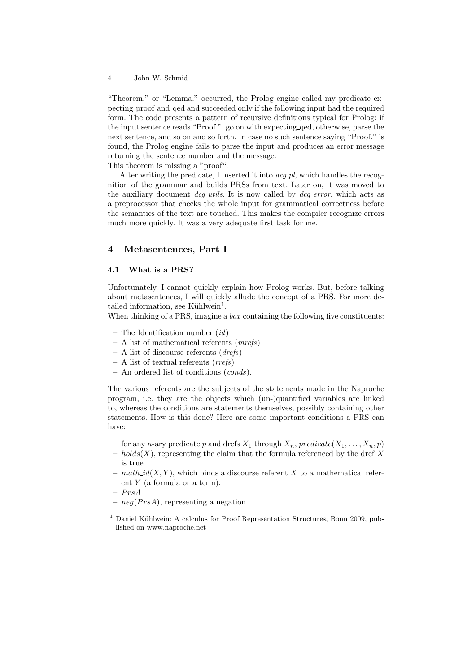"Theorem." or "Lemma." occurred, the Prolog engine called my predicate expecting proof and qed and succeeded only if the following input had the required form. The code presents a pattern of recursive definitions typical for Prolog: if the input sentence reads "Proof.", go on with expecting qed, otherwise, parse the next sentence, and so on and so forth. In case no such sentence saying "Proof." is found, the Prolog engine fails to parse the input and produces an error message returning the sentence number and the message: This theorem is missing a "proof".

After writing the predicate, I inserted it into  $\deg$ -pl, which handles the recognition of the grammar and builds PRSs from text. Later on, it was moved to the auxiliary document  $\text{d}c\text{g}_\text{u}$  at is now called by  $\text{d}c\text{g}_\text{u}$  error, which acts as a preprocessor that checks the whole input for grammatical correctness before the semantics of the text are touched. This makes the compiler recognize errors much more quickly. It was a very adequate first task for me.

## 4 Metasentences, Part I

#### 4.1 What is a PRS?

Unfortunately, I cannot quickly explain how Prolog works. But, before talking about metasentences, I will quickly allude the concept of a PRS. For more detailed information, see Kühlwein<sup>1</sup>.

When thinking of a PRS, imagine a *box* containing the following five constituents:

- The Identification number  $(id)$
- A list of mathematical referents (mrefs)
- A list of discourse referents  $(\text{d}refs)$
- $-$  A list of textual referents (*rrefs*)
- An ordered list of conditions (conds).

The various referents are the subjects of the statements made in the Naproche program, i.e. they are the objects which (un-)quantified variables are linked to, whereas the conditions are statements themselves, possibly containing other statements. How is this done? Here are some important conditions a PRS can have:

- for any n-ary predicate p and drefs  $X_1$  through  $X_n$ , predicate  $(X_1, \ldots, X_n, p)$
- $holds(X)$ , representing the claim that the formula referenced by the dref X is true.
- $mathid(X, Y)$ , which binds a discourse referent X to a mathematical referent Y (a formula or a term).

 $- PrsA$ 

–  $neg(PrsA)$ , representing a negation.

 $1$  Daniel Kühlwein: A calculus for Proof Representation Structures, Bonn 2009, published on www.naproche.net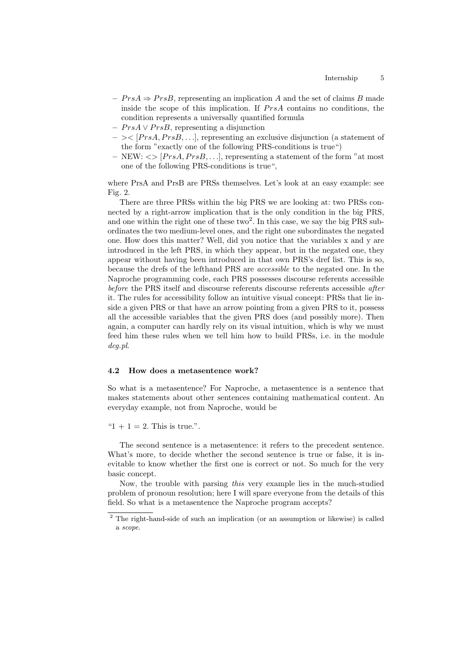- $PrsA \Rightarrow PrsB$ , representing an implication A and the set of claims B made inside the scope of this implication. If  $PrsA$  contains no conditions, the condition represents a universally quantified formula
- $PrsA \vee PrsB$ , representing a disjunction
- $-$  >  $\leq$  [PrsA, PrsB,...], representing an exclusive disjunction (a statement of the form "exactly one of the following PRS-conditions is true")
- NEW:  $\langle \rangle$  [PrsA, PrsB,...], representing a statement of the form "at most" one of the following PRS-conditions is true",

where PrsA and PrsB are PRSs themselves. Let's look at an easy example: see Fig. 2.

There are three PRSs within the big PRS we are looking at: two PRSs connected by a right-arrow implication that is the only condition in the big PRS, and one within the right one of these two<sup>2</sup>. In this case, we say the big PRS subordinates the two medium-level ones, and the right one subordinates the negated one. How does this matter? Well, did you notice that the variables x and y are introduced in the left PRS, in which they appear, but in the negated one, they appear without having been introduced in that own PRS's dref list. This is so, because the drefs of the lefthand PRS are accessible to the negated one. In the Naproche programming code, each PRS possesses discourse referents accessible before the PRS itself and discourse referents discourse referents accessible *after* it. The rules for accessibility follow an intuitive visual concept: PRSs that lie inside a given PRS or that have an arrow pointing from a given PRS to it, possess all the accessible variables that the given PRS does (and possibly more). Then again, a computer can hardly rely on its visual intuition, which is why we must feed him these rules when we tell him how to build PRSs, i.e. in the module dcg.pl.

#### 4.2 How does a metasentence work?

So what is a metasentence? For Naproche, a metasentence is a sentence that makes statements about other sentences containing mathematical content. An everyday example, not from Naproche, would be

" $1 + 1 = 2$ . This is true.".

The second sentence is a metasentence: it refers to the precedent sentence. What's more, to decide whether the second sentence is true or false, it is inevitable to know whether the first one is correct or not. So much for the very basic concept.

Now, the trouble with parsing this very example lies in the much-studied problem of pronoun resolution; here I will spare everyone from the details of this field. So what is a metasentence the Naproche program accepts?

<sup>2</sup> The right-hand-side of such an implication (or an assumption or likewise) is called a scope.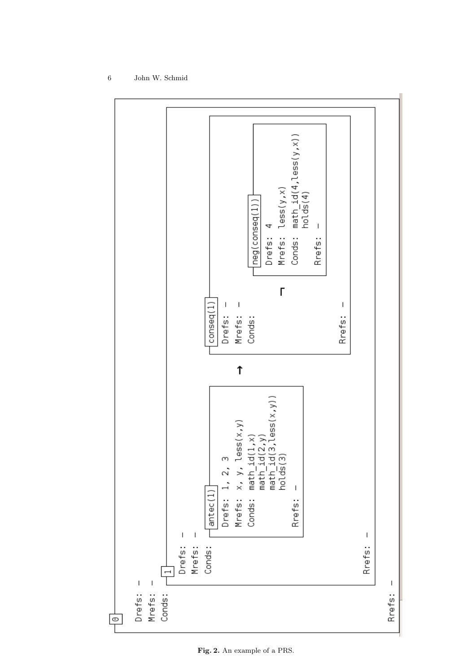

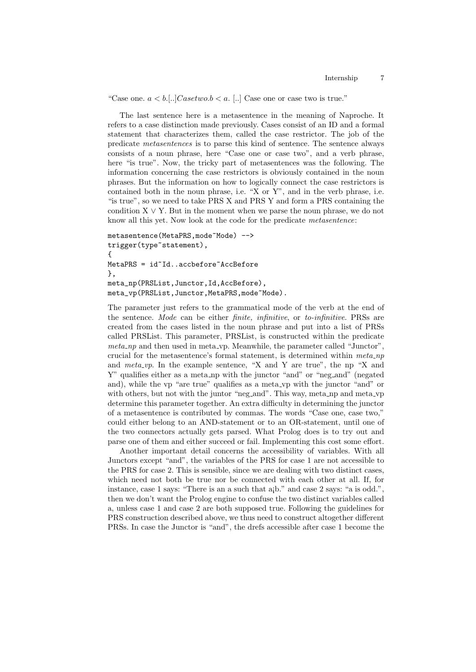"Case one.  $a < b$ ...]*Casetwo.b* < a. [..] Case one or case two is true."

The last sentence here is a metasentence in the meaning of Naproche. It refers to a case distinction made previously. Cases consist of an ID and a formal statement that characterizes them, called the case restrictor. The job of the predicate metasentences is to parse this kind of sentence. The sentence always consists of a noun phrase, here "Case one or case two", and a verb phrase, here "is true". Now, the tricky part of metasentences was the following. The information concerning the case restrictors is obviously contained in the noun phrases. But the information on how to logically connect the case restrictors is contained both in the noun phrase, i.e. "X or Y", and in the verb phrase, i.e. "is true", so we need to take PRS X and PRS Y and form a PRS containing the condition  $X \vee Y$ . But in the moment when we parse the noun phrase, we do not know all this yet. Now look at the code for the predicate metasentence:

```
metasentence(MetaPRS, mode~Mode) -->
trigger(type~statement),
{
MetaPRS = id^TId..accbefore~AccBefore
},
meta_np(PRSList,Junctor,Id,AccBefore),
meta_vp(PRSList,Junctor,MetaPRS,mode~Mode).
```
The parameter just refers to the grammatical mode of the verb at the end of the sentence. Mode can be either finite, infinitive, or to-infinitive. PRSs are created from the cases listed in the noun phrase and put into a list of PRSs called PRSList. This parameter, PRSList, is constructed within the predicate meta np and then used in meta vp. Meanwhile, the parameter called "Junctor", crucial for the metasentence's formal statement, is determined within  $meta_np$ and  $meta\_vp$ . In the example sentence, "X and Y are true", the np "X and Y" qualifies either as a meta\_np with the junctor "and" or "neg\_and" (negated and), while the vp "are true" qualifies as a meta vp with the junctor "and" or with others, but not with the juntor "neg\_and". This way, meta\_np and meta\_vp determine this parameter together. An extra difficulty in determining the junctor of a metasentence is contributed by commas. The words "Case one, case two," could either belong to an AND-statement or to an OR-statement, until one of the two connectors actually gets parsed. What Prolog does is to try out and parse one of them and either succeed or fail. Implementing this cost some effort.

Another important detail concerns the accessibility of variables. With all Junctors except "and", the variables of the PRS for case 1 are not accessible to the PRS for case 2. This is sensible, since we are dealing with two distinct cases, which need not both be true nor be connected with each other at all. If, for instance, case 1 says: "There is an a such that a¡b." and case 2 says: "a is odd.", then we don't want the Prolog engine to confuse the two distinct variables called a, unless case 1 and case 2 are both supposed true. Following the guidelines for PRS construction described above, we thus need to construct altogether different PRSs. In case the Junctor is "and", the drefs accessible after case 1 become the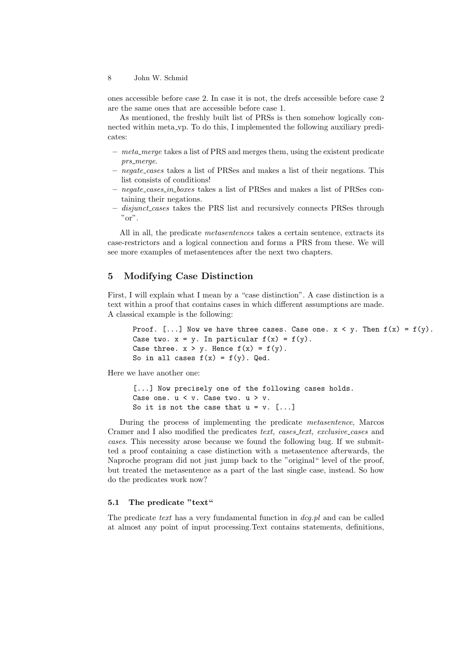ones accessible before case 2. In case it is not, the drefs accessible before case 2 are the same ones that are accessible before case 1.

As mentioned, the freshly built list of PRSs is then somehow logically connected within meta vp. To do this, I implemented the following auxiliary predicates:

- $-$  meta merge takes a list of PRS and merges them, using the existent predicate prs\_merge.
- negate cases takes a list of PRSes and makes a list of their negations. This list consists of conditions!
- negate cases in boxes takes a list of PRSes and makes a list of PRSes containing their negations.
- disjunct cases takes the PRS list and recursively connects PRSes through "or".

All in all, the predicate metasentences takes a certain sentence, extracts its case-restrictors and a logical connection and forms a PRS from these. We will see more examples of metasentences after the next two chapters.

# 5 Modifying Case Distinction

First, I will explain what I mean by a "case distinction". A case distinction is a text within a proof that contains cases in which different assumptions are made. A classical example is the following:

```
Proof. [\dots] Now we have three cases. Case one. x \le y. Then f(x) = f(y).
Case two. x = y. In particular f(x) = f(y).
Case three. x > y. Hence f(x) = f(y).
So in all cases f(x) = f(y). Qed.
```
Here we have another one:

```
[...] Now precisely one of the following cases holds.
Case one. u \le v. Case two. u > v.
So it is not the case that u = v. [...]
```
During the process of implementing the predicate metasentence, Marcos Cramer and I also modified the predicates text, cases\_text, exclusive\_cases and cases. This necessity arose because we found the following bug. If we submitted a proof containing a case distinction with a metasentence afterwards, the Naproche program did not just jump back to the "original" level of the proof, but treated the metasentence as a part of the last single case, instead. So how do the predicates work now?

## 5.1 The predicate "text"

The predicate text has a very fundamental function in  $deg.pl$  and can be called at almost any point of input processing.Text contains statements, definitions,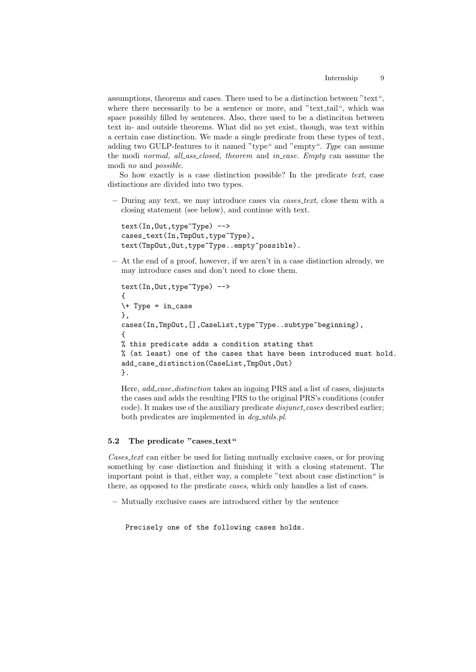assumptions, theorems and cases. There used to be a distinction between "text", where there necessarily to be a sentence or more, and "text<sub>-tail</sub>", which was space possibly filled by sentences. Also, there used to be a distinciton between text in- and outside theorems. What did no yet exist, though, was text within a certain case distinction. We made a single predicate from these types of text, adding two GULP-features to it named "type" and "empty". Type can assume the modi normal, all\_ass\_closed, theorem and in\_case. Empty can assume the modi no and possible.

So how exactly is a case distinction possible? In the predicate text, case distinctions are divided into two types.

– During any text, we may introduce cases via cases text, close them with a closing statement (see below), and continue with text.

```
text(In,Out,type~Type) -->
cases_text(In,TmpOut,type~Type),
text(TmpOut,Out,type~Type..empty~possible).
```
– At the end of a proof, however, if we aren't in a case distinction already, we may introduce cases and don't need to close them.

```
text(In,Out,type~Type) -->
{
\rightarrow Type = in_case
},
cases(In,TmpOut,[],CaseList,type~Type..subtype~beginning),
{
% this predicate adds a condition stating that
% (at least) one of the cases that have been introduced must hold.
add_case_distinction(CaseList,TmpOut,Out)
}.
```
Here, add\_case\_distinction takes an ingoing PRS and a list of cases, disjuncts the cases and adds the resulting PRS to the original PRS's conditions (confer code). It makes use of the auxiliary predicate *disjunct\_cases* described earlier; both predicates are implemented in  $dcq\_utils.pl$ .

#### 5.2 The predicate "cases\_text"

Cases text can either be used for listing mutually exclusive cases, or for proving something by case distinction and finishing it with a closing statement. The important point is that, either way, a complete "text about case distinction" is there, as opposed to the predicate cases, which only handles a list of cases.

– Mutually exclusive cases are introduced either by the sentence

Precisely one of the following cases holds.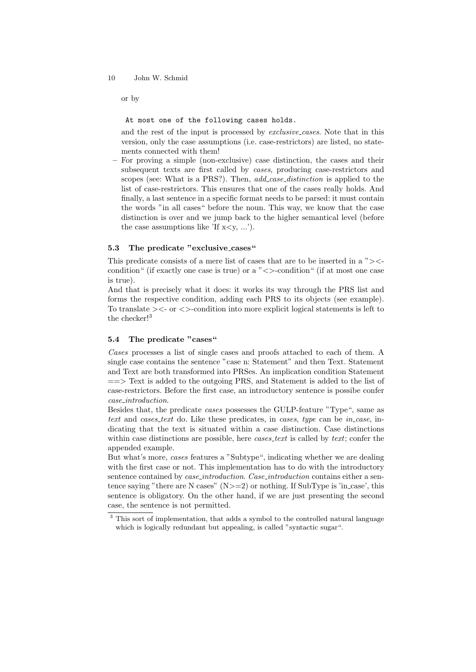or by

At most one of the following cases holds.

and the rest of the input is processed by *exclusive-cases*. Note that in this version, only the case assumptions (i.e. case-restrictors) are listed, no statements connected with them!

– For proving a simple (non-exclusive) case distinction, the cases and their subsequent texts are first called by *cases*, producing case-restrictors and scopes (see: What is a PRS?). Then, *add\_case\_distinction* is applied to the list of case-restrictors. This ensures that one of the cases really holds. And finally, a last sentence in a specific format needs to be parsed: it must contain the words "in all cases" before the noun. This way, we know that the case distinction is over and we jump back to the higher semantical level (before the case assumptions like 'If  $x < y$ , ...').

### 5.3 The predicate "exclusive cases"

This predicate consists of a mere list of cases that are to be inserted in a "><condition" (if exactly one case is true) or a  $\sim$  >-condition" (if at most one case is true).

And that is precisely what it does: it works its way through the PRS list and forms the respective condition, adding each PRS to its objects (see example). To translate  $\geq$  or  $\lt$  -condition into more explicit logical statements is left to the checker!<sup>3</sup>

#### 5.4 The predicate "cases"

Cases processes a list of single cases and proofs attached to each of them. A single case contains the sentence "case n: Statement" and then Text. Statement and Text are both transformed into PRSes. An implication condition Statement  $\equiv \equiv$  Text is added to the outgoing PRS, and Statement is added to the list of case-restrictors. Before the first case, an introductory sentence is possibe confer case introduction.

Besides that, the predicate cases possesses the GULP-feature "Type", same as text and cases\_text do. Like these predicates, in cases, type can be in case, indicating that the text is situated within a case distinction. Case distinctions within case distinctions are possible, here  $cases. \text{t}$  is called by  $text$ ; confer the appended example.

But what's more, cases features a "Subtype", indicating whether we are dealing with the first case or not. This implementation has to do with the introductory sentence contained by *case\_introduction. Case\_introduction* contains either a sentence saying "there are N cases"  $(N>=2)$  or nothing. If SubType is 'in case', this sentence is obligatory. On the other hand, if we are just presenting the second case, the sentence is not permitted.

<sup>&</sup>lt;sup>3</sup> This sort of implementation, that adds a symbol to the controlled natural language which is logically redundant but appealing, is called "syntactic sugar".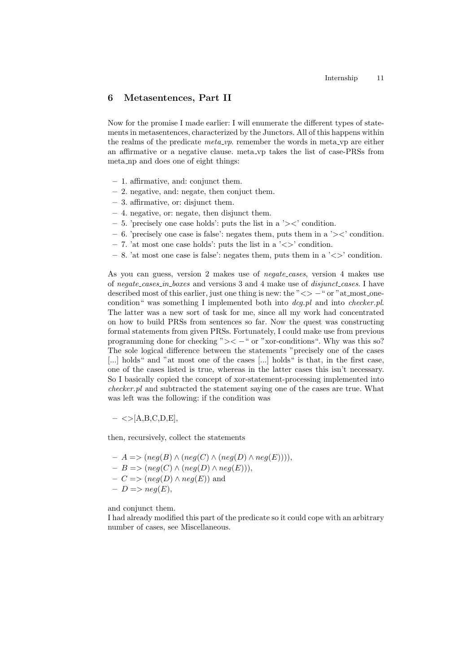## 6 Metasentences, Part II

Now for the promise I made earlier: I will enumerate the different types of statements in metasentences, characterized by the Junctors. All of this happens within the realms of the predicate  $meta\_vp$ . remember the words in meta<sub>vers</sub> are either an affirmative or a negative clause. meta vp takes the list of case-PRSs from meta np and does one of eight things:

- 1. affirmative, and: conjunct them.
- 2. negative, and: negate, then conjuct them.
- 3. affirmative, or: disjunct them.
- 4. negative, or: negate, then disjunct them.
- $-5$ . 'precisely one case holds': puts the list in a ' $\geq$ ' condition.
- 6. 'precisely one case is false': negates them, puts them in a ' $\geq$ ' condition.
- 7. 'at most one case holds': puts the list in a  $\leq$  condition.
- $-8$ . 'at most one case is false': negates them, puts them in a  $\langle \langle \rangle$  condition.

As you can guess, version 2 makes use of *negate\_cases*, version 4 makes use of negate cases in boxes and versions 3 and 4 make use of disjunct cases. I have described most of this earlier, just one thing is new: the " $\langle \rangle$  – " or "at most onecondition" was something I implemented both into  $deg.pl$  and into checker.pl. The latter was a new sort of task for me, since all my work had concentrated on how to build PRSs from sentences so far. Now the quest was constructing formal statements from given PRSs. Fortunately, I could make use from previous programming done for checking " $\geq$  -" or "xor-conditions". Why was this so? The sole logical difference between the statements "precisely one of the cases [...] holds" and "at most one of the cases [...] holds" is that, in the first case, one of the cases listed is true, whereas in the latter cases this isn't necessary. So I basically copied the concept of xor-statement-processing implemented into checker.pl and subtracted the statement saying one of the cases are true. What was left was the following: if the condition was

 $-$  <>[A,B,C,D,E],

then, recursively, collect the statements

– A => (neg(B) ∧ (neg(C) ∧ (neg(D) ∧ neg(E)))),  $-B \Longrightarrow (neg(C) \land (neg(D) \land neg(E))),$  $- C \Longrightarrow (neg(D) \land neg(E))$  and  $-D \Longrightarrow neg(E),$ 

and conjunct them.

I had already modified this part of the predicate so it could cope with an arbitrary number of cases, see Miscellaneous.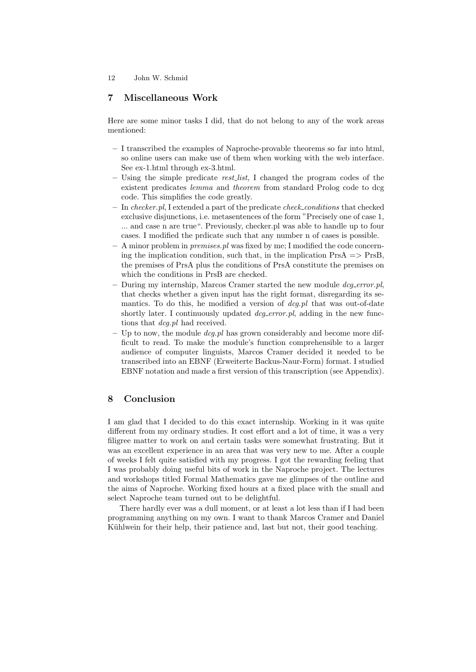# 7 Miscellaneous Work

Here are some minor tasks I did, that do not belong to any of the work areas mentioned:

- I transcribed the examples of Naproche-provable theorems so far into html, so online users can make use of them when working with the web interface. See ex-1.html through ex-3.html.
- $-$  Using the simple predicate rest-list, I changed the program codes of the existent predicates lemma and theorem from standard Prolog code to dcg code. This simplifies the code greatly.
- In *checker.pl*, I extended a part of the predicate *check\_conditions* that checked exclusive disjunctions, i.e. metasentences of the form "Precisely one of case 1, ... and case n are true". Previously, checker.pl was able to handle up to four cases. I modified the prdicate such that any number n of cases is possible.
- $-$  A minor problem in *premises.pl* was fixed by me; I modified the code concerning the implication condition, such that, in the implication  $PrsA \implies PrsB$ , the premises of PrsA plus the conditions of PrsA constitute the premises on which the conditions in PrsB are checked.
- During my internship, Marcos Cramer started the new module  $\text{dcq\_error}.$ that checks whether a given input has the right format, disregarding its semantics. To do this, he modified a version of  $deg.pl$  that was out-of-date shortly later. I continuously updated  $\text{deq}_i$ -error.pl, adding in the new functions that *dcg.pl* had received.
- Up to now, the module  $\deg$ -pl has grown considerably and become more difficult to read. To make the module's function comprehensible to a larger audience of computer linguists, Marcos Cramer decided it needed to be transcribed into an EBNF (Erweiterte Backus-Naur-Form) format. I studied EBNF notation and made a first version of this transcription (see Appendix).

# 8 Conclusion

I am glad that I decided to do this exact internship. Working in it was quite different from my ordinary studies. It cost effort and a lot of time, it was a very filigree matter to work on and certain tasks were somewhat frustrating. But it was an excellent experience in an area that was very new to me. After a couple of weeks I felt quite satisfied with my progress. I got the rewarding feeling that I was probably doing useful bits of work in the Naproche project. The lectures and workshops titled Formal Mathematics gave me glimpses of the outline and the aims of Naproche. Working fixed hours at a fixed place with the small and select Naproche team turned out to be delightful.

There hardly ever was a dull moment, or at least a lot less than if I had been programming anything on my own. I want to thank Marcos Cramer and Daniel Kühlwein for their help, their patience and, last but not, their good teaching.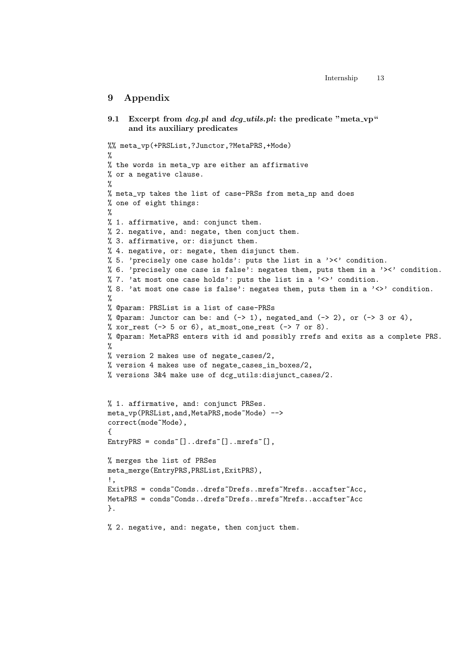## 9 Appendix

```
9.1 Excerpt from dcq, pl and dcq utils, pl: the predicate "meta vp"
     and its auxiliary predicates
%% meta_vp(+PRSList,?Junctor,?MetaPRS,+Mode)
%
% the words in meta_vp are either an affirmative
% or a negative clause.
%
% meta_vp takes the list of case-PRSs from meta_np and does
% one of eight things:
%
% 1. affirmative, and: conjunct them.
% 2. negative, and: negate, then conjuct them.
% 3. affirmative, or: disjunct them.
% 4. negative, or: negate, then disjunct them.
% 5. 'precisely one case holds': puts the list in a '><' condition.
% 6. 'precisely one case is false': negates them, puts them in a '><' condition.
% 7. 'at most one case holds': puts the list in a '\langle \rangle' condition.
% 8. 'at most one case is false': negates them, puts them in a '<>' condition.
%
% @param: PRSList is a list of case-PRSs
% @param: Junctor can be: and (-> 1), negated_and (-> 2), or (-> 3 or 4),
% xor_rest (\rightarrow 5 or 6), at_most_one_rest (\rightarrow 7 or 8).
% @param: MetaPRS enters with id and possibly rrefs and exits as a complete PRS.
%
% version 2 makes use of negate_cases/2,
% version 4 makes use of negate_cases_in_boxes/2,
% versions 3&4 make use of dcg_utils:disjunct_cases/2.
% 1. affirmative, and: conjunct PRSes.
meta_vp(PRSList,and,MetaPRS,mode~Mode) -->
correct(mode~Mode),
{
EntryPRS = conds~[]..drefs~[]..mrefs~[],
% merges the list of PRSes
meta_merge(EntryPRS,PRSList,ExitPRS),
!,
ExitPRS = conds~Conds..drefs~Drefs..mrefs~Mrefs..accafter~Acc,
MetaPRS = conds~Conds..drefs~Drefs..mrefs~Mrefs..accafter~Acc
}.
% 2. negative, and: negate, then conjuct them.
```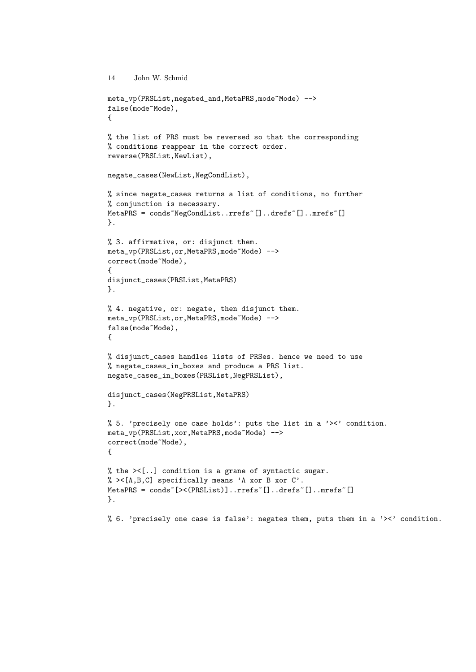```
14 John W. Schmid
meta_vp(PRSList,negated_and,MetaPRS,mode~Mode) -->
false(mode~Mode),
{
% the list of PRS must be reversed so that the corresponding
% conditions reappear in the correct order.
reverse(PRSList,NewList),
negate_cases(NewList,NegCondList),
% since negate_cases returns a list of conditions, no further
% conjunction is necessary.
MetaPRS = conds~NegCondList..rrefs~[]..drefs~[]..mrefs~[]
}.
% 3. affirmative, or: disjunct them.
meta_vp(PRSList,or,MetaPRS,mode~Mode) -->
correct(mode~Mode),
{
disjunct_cases(PRSList,MetaPRS)
}.
% 4. negative, or: negate, then disjunct them.
meta_vp(PRSList,or,MetaPRS,mode~Mode) -->
false(mode~Mode),
{
% disjunct_cases handles lists of PRSes. hence we need to use
% negate_cases_in_boxes and produce a PRS list.
negate_cases_in_boxes(PRSList,NegPRSList),
disjunct_cases(NegPRSList,MetaPRS)
}.
% 5. 'precisely one case holds': puts the list in a '><' condition.
meta_vp(PRSList,xor,MetaPRS,mode~Mode) -->
correct(mode~Mode),
{
% the ><[..] condition is a grane of syntactic sugar.
% ><[A,B,C] specifically means 'A xor B xor C'.
MetaPRS = conds~[><(PRSList)]..rrefs~[]..drefs~[]..mrefs~[]
}.
% 6. 'precisely one case is false': negates them, puts them in a '><' condition.
```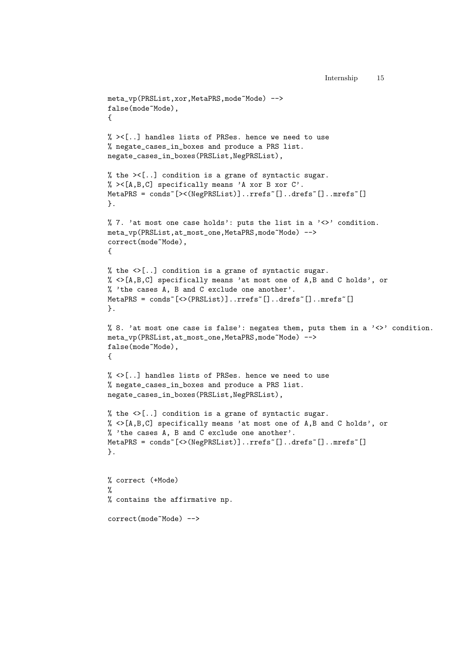```
meta_vp(PRSList,xor,MetaPRS,mode~Mode) -->
false(mode~Mode),
{
% ><[..] handles lists of PRSes. hence we need to use
% negate_cases_in_boxes and produce a PRS list.
negate_cases_in_boxes(PRSList,NegPRSList),
% the ><[..] condition is a grane of syntactic sugar.
% ><[A,B,C] specifically means 'A xor B xor C'.
MetaPRS = conds<sup>~</sup>[><(NegPRSList)]..rrefs<sup>~</sup>[]..drefs<sup>~</sup>[]..mrefs<sup>~</sup>[]
}.
% 7. 'at most one case holds': puts the list in a '\langle \rangle' condition.
meta_vp(PRSList,at_most_one,MetaPRS,mode~Mode) -->
correct(mode~Mode),
{
% the \langle \rangle[..] condition is a grane of syntactic sugar.
% <>[A,B,C] specifically means 'at most one of A,B and C holds', or
% 'the cases A, B and C exclude one another'.
MetaPRS = conds<sup>~</sup>[<>(PRSList)]..rrefs<sup>~</sup>[]..drefs<sup>~</sup>[]..mrefs<sup>~</sup>[]
}.
% 8. 'at most one case is false': negates them, puts them in a '<>' condition.
meta_vp(PRSList,at_most_one,MetaPRS,mode~Mode) -->
false(mode~Mode),
{
% <>[..] handles lists of PRSes. hence we need to use
% negate_cases_in_boxes and produce a PRS list.
negate_cases_in_boxes(PRSList,NegPRSList),
% the <>[..] condition is a grane of syntactic sugar.
% <>[A,B,C] specifically means 'at most one of A,B and C holds', or
% 'the cases A, B and C exclude one another'.
MetaPRS = conds<sup>~</sup>[<>(NegPRSList)]..rrefs<sup>~</sup>[]..drefs<sup>~</sup>[]..mrefs<sup>~</sup>[]
}.
% correct (+Mode)
%
% contains the affirmative np.
correct(mode~Mode) -->
```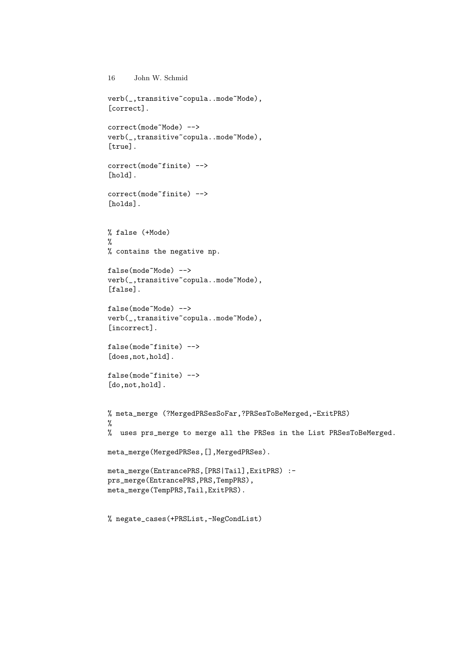```
verb(_,transitive~copula..mode~Mode),
[correct].
correct(mode~Mode) -->
verb(_,transitive~copula..mode~Mode),
[true].
correct(mode~finite) -->
[hold].
correct(mode~finite) -->
[holds].
% false (+Mode)
%
% contains the negative np.
false(mode~Mode) -->
verb(_,transitive~copula..mode~Mode),
[false].
false(mode~Mode) -->
verb(_,transitive~copula..mode~Mode),
[incorrect].
false(mode~finite) -->
[does, not, hold].
false(mode~finite) -->
[do,not,hold].
% meta_merge (?MergedPRSesSoFar,?PRSesToBeMerged,-ExitPRS)
\frac{9}{6}% uses prs_merge to merge all the PRSes in the List PRSesToBeMerged.
meta_merge(MergedPRSes,[],MergedPRSes).
meta_merge(EntrancePRS,[PRS|Tail],ExitPRS) :-
prs_merge(EntrancePRS,PRS,TempPRS),
meta_merge(TempPRS,Tail,ExitPRS).
```
% negate\_cases(+PRSList,-NegCondList)

16 John W. Schmid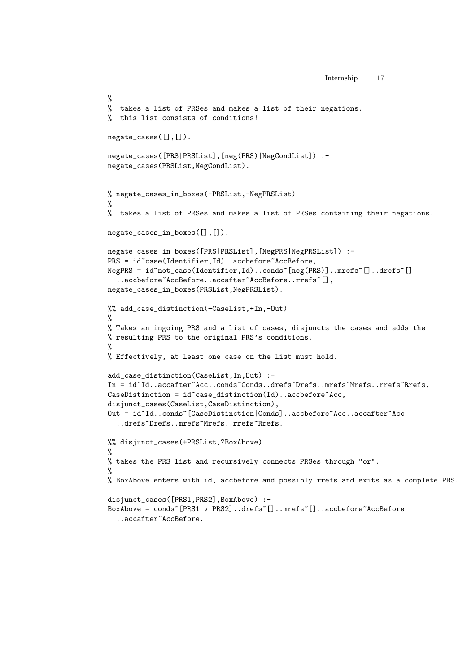```
Internship 17
```

```
%
% takes a list of PRSes and makes a list of their negations.
% this list consists of conditions!
negate_cases([],[]).
negate_cases([PRS|PRSList],[neg(PRS)|NegCondList]) :-
negate_cases(PRSList,NegCondList).
% negate_cases_in_boxes(+PRSList,-NegPRSList)
%
% takes a list of PRSes and makes a list of PRSes containing their negations.
negate_cases_in_boxes([],[]).
negate_cases_in_boxes([PRS|PRSList],[NegPRS|NegPRSList]) :-
PRS = id~case(Identifier,Id)..accbefore~AccBefore,
NegPRS = id~not_case(Identifier,Id)..conds~[neg(PRS)]..mrefs~[]..drefs~[]
  ..accbefore~AccBefore..accafter~AccBefore..rrefs~[],
negate_cases_in_boxes(PRSList,NegPRSList).
%% add_case_distinction(+CaseList,+In,-Out)
%
% Takes an ingoing PRS and a list of cases, disjuncts the cases and adds the
% resulting PRS to the original PRS's conditions.
%
% Effectively, at least one case on the list must hold.
add_case_distinction(CaseList,In,Out) :-
In = id~Id..accafter~Acc..conds~Conds..drefs~Drefs..mrefs~Mrefs..rrefs~Rrefs,
\texttt{CaseDistribution} = \texttt{id}^* \texttt{case\_distribution}(\texttt{Id}) \texttt{...} \texttt{acceptore}^* \texttt{Acc},disjunct_cases(CaseList,CaseDistinction),
Out = id~Id..conds~[CaseDistinction|Conds]..accbefore~Acc..accafter~Acc
  ..drefs~Drefs..mrefs~Mrefs..rrefs~Rrefs.
%% disjunct_cases(+PRSList,?BoxAbove)
%
% takes the PRS list and recursively connects PRSes through "or".
%
% BoxAbove enters with id, accbefore and possibly rrefs and exits as a complete PRS.
disjunct_cases([PRS1,PRS2],BoxAbove) :-
BoxAbove = conds~[PRS1 v PRS2]..drefs~[]..mrefs~[]..accbefore~AccBefore
  ..accafter~AccBefore.
```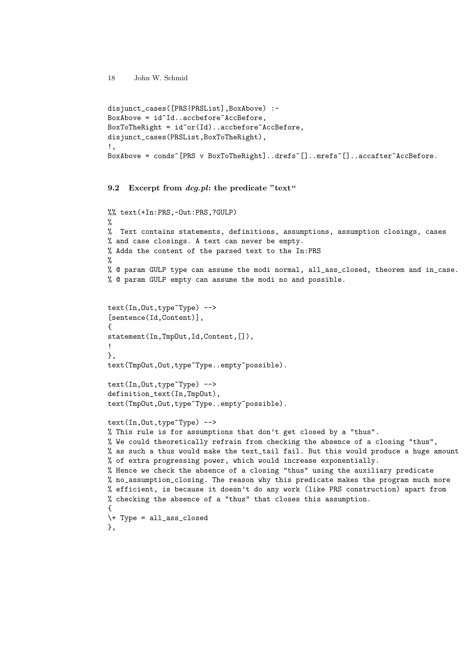```
disjunct_cases([PRS|PRSList],BoxAbove) :-
BoxAbove = id^TId..accbefore~AccBefore,
BoxToThe Right = id<sup>o</sup> or (Id)..accbefore~AccBefore,
disjunct_cases(PRSList,BoxToTheRight),
!,
BoxAbove = conds~[PRS v BoxToTheRight]..drefs~[]..mrefs~[]..accafter~AccBefore.
```
9.2 Excerpt from  $deg.pl$ : the predicate "text"

```
%% text(+In:PRS,-Out:PRS,?GULP)
\gamma% Text contains statements, definitions, assumptions, assumption closings, cases
% and case closings. A text can never be empty.
% Adds the content of the parsed text to the In:PRS
%
% @ param GULP type can assume the modi normal, all_ass_closed, theorem and in_case.
% @ param GULP empty can assume the modi no and possible.
text(In,Out,type~Type) -->
[sentence(Id,Content)],
{
statement(In,TmpOut,Id,Content,[]),
!
},
text(TmpOut,Out,type~Type..empty~possible).
text(In,Out,type~Type) -->
definition_text(In,TmpOut),
text(TmpOut,Out,type~Type..empty~possible).
text(In,Out,type~Type) -->
% This rule is for assumptions that don't get closed by a "thus".
% We could theoretically refrain from checking the absence of a closing "thus",
% as such a thus would make the text_tail fail. But this would produce a huge amount
% of extra progressing power, which would increase exponentially.
% Hence we check the absence of a closing "thus" using the auxiliary predicate
% no_assumption_closing. The reason why this predicate makes the program much more
% efficient, is because it doesn't do any work (like PRS construction) apart from
% checking the absence of a "thus" that closes this assumption.
{
\+ Type = all_ass_closed
},
```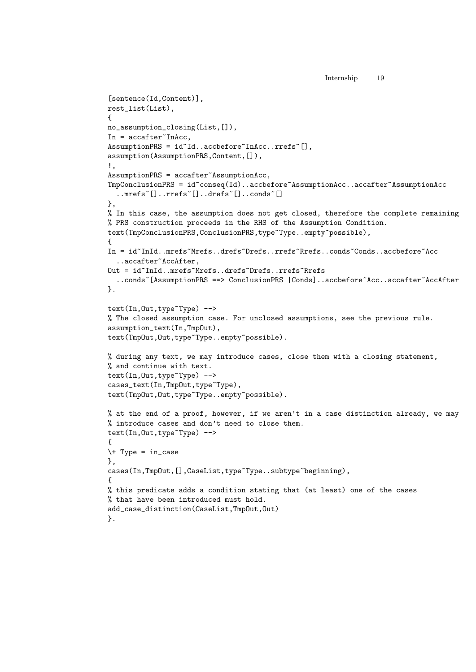Internship 19

```
[sentence(Id,Content)],
rest_list(List),
{
no_assumption_closing(List,[]),
In = \text{accafter} InAcc,
AssumptionPRS = id~Id..accbefore~InAcc..rrefs~[],
assumption(AssumptionPRS,Content,[]),
!,
AssumptionPRS = accafter~AssumptionAcc,
TmpConclusionPRS = id~conseq(Id)..accbefore~AssumptionAcc..accafter~AssumptionAcc
  ..mrefs~[]..rrefs~[]..drefs~[]..conds~[]
},
% In this case, the assumption does not get closed, therefore the complete remaining
% PRS construction proceeds in the RHS of the Assumption Condition.
text(TmpConclusionPRS,ConclusionPRS,type~Type..empty~possible),
{
In = id~InId..mrefs~Mrefs..drefs~Drefs..rrefs~Rrefs..conds~Conds..accbefore~Acc
  ..accafter~AccAfter,
Out = id~InId..mrefs~Mrefs..drefs~Drefs..rrefs~Rrefs
  ..conds~[AssumptionPRS ==> ConclusionPRS |Conds]..accbefore~Acc..accafter~AccAfter
}.
text(In,Out,type~Type) -->
% The closed assumption case. For unclosed assumptions, see the previous rule.
assumption_text(In,TmpOut),
text(TmpOut,Out,type~Type..empty~possible).
% during any text, we may introduce cases, close them with a closing statement,
% and continue with text.
text(In,Out,type~Type) -->
cases_text(In,TmpOut,type~Type),
text(TmpOut,Out,type~Type..empty~possible).
% at the end of a proof, however, if we aren't in a case distinction already, we may
% introduce cases and don't need to close them.
text(In,Out,type~Type) -->
{
\rightarrow Type = in_case
},
cases(In,TmpOut,[],CaseList,type~Type..subtype~beginning),
\mathcal{L}% this predicate adds a condition stating that (at least) one of the cases
% that have been introduced must hold.
add_case_distinction(CaseList,TmpOut,Out)
}.
```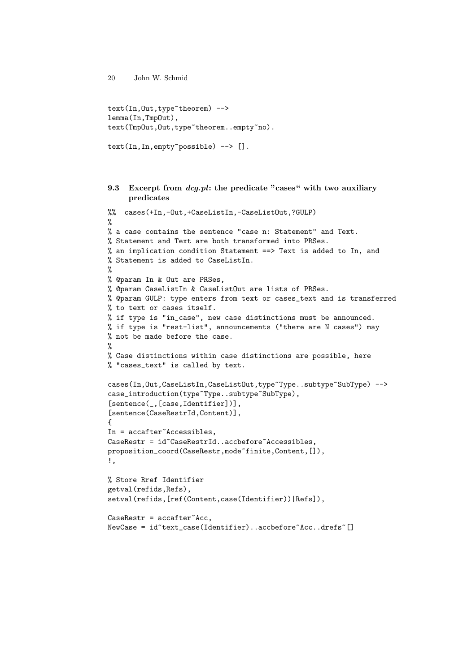```
text(In,Out,type~theorem) -->
lemma(In,TmpOut),
text(TmpOut,Out,type~theorem..empty~no).
```

```
text(In,In,empty~possible) --> [].
```
## 9.3 Excerpt from dcg.pl: the predicate "cases" with two auxiliary predicates

```
%% cases(+In,-Out,+CaseListIn,-CaseListOut,?GULP)
\gamma% a case contains the sentence "case n: Statement" and Text.
% Statement and Text are both transformed into PRSes.
% an implication condition Statement ==> Text is added to In, and
% Statement is added to CaseListIn.
%
% @param In & Out are PRSes,
% @param CaseListIn & CaseListOut are lists of PRSes.
% @param GULP: type enters from text or cases_text and is transferred
% to text or cases itself.
% if type is "in_case", new case distinctions must be announced.
% if type is "rest-list", announcements ("there are N cases") may
% not be made before the case.
%
% Case distinctions within case distinctions are possible, here
% "cases_text" is called by text.
cases(In,Out,CaseListIn,CaseListOut,type~Type..subtype~SubType) -->
case_introduction(type~Type..subtype~SubType),
[sentence(_,[case,Identifier])],
[sentence(CaseRestrId,Content)],
{
In = accafter~Accessibles,
CaseRestr = id~CaseRestrId..accbefore~Accessibles,
proposition_coord(CaseRestr,mode~finite,Content,[]),
!,
% Store Rref Identifier
getval(refids,Refs),
setval(refids,[ref(Content,case(Identifier))|Refs]),
\text{CaseRestr} = \text{accafter}^{\sim} \text{Acc},NewCase = id~text_case(Identifier)..accbefore~Acc..drefs~[]
```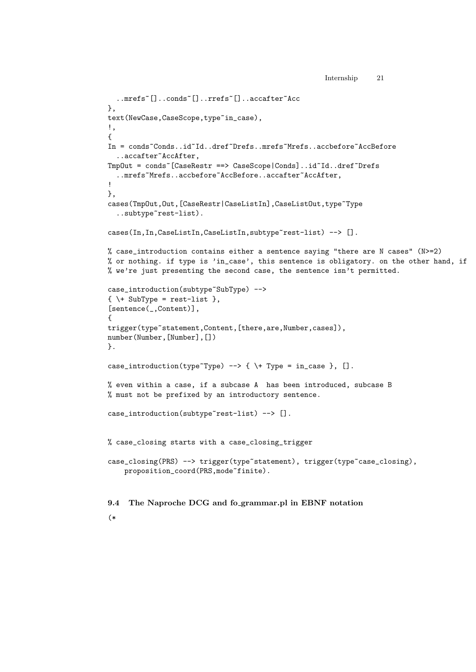```
Internship 21
```

```
..mrefs~[]..conds~[]..rrefs~[]..accafter~Acc
},
text(NewCase,CaseScope,type~in_case),
!,
{
In = conds~Conds..id~Id..dref~Drefs..mrefs~Mrefs..accbefore~AccBefore
  ..accafter~AccAfter,
TmpOut = conds~[CaseRestr ==> CaseScope|Conds]..id~Id..dref~Drefs
  ..mrefs~Mrefs..accbefore~AccBefore..accafter~AccAfter,
!
},
cases(TmpOut,Out,[CaseRestr|CaseListIn],CaseListOut,type~Type
  ..subtype~rest-list).
cases(In, In, CaseListIn, CaseListIn, subtype~rest-list) --> [].
% case_introduction contains either a sentence saying "there are N cases" (N>=2)
% or nothing. if type is 'in_case', this sentence is obligatory. on the other hand, if
% we're just presenting the second case, the sentence isn't permitted.
case_introduction(subtype~SubType) -->
\{ \ \langle + \ \text{SubType} = \text{rest-list} \ \},\[sentence(_,Content)],
{
trigger(type~statement,Content,[there,are,Number,cases]),
number(Number,[Number],[])
}.
case_introduction(type~Type) --> { \+ Type = in_case }, [].
% even within a case, if a subcase A has been introduced, subcase B
% must not be prefixed by an introductory sentence.
case_introduction(subtype~rest-list) --> [].
% case_closing starts with a case_closing_trigger
case_closing(PRS) --> trigger(type~statement), trigger(type~case_closing),
    proposition_coord(PRS,mode~finite).
9.4 The Naproche DCG and fo grammar.pl in EBNF notation
```

```
(*
```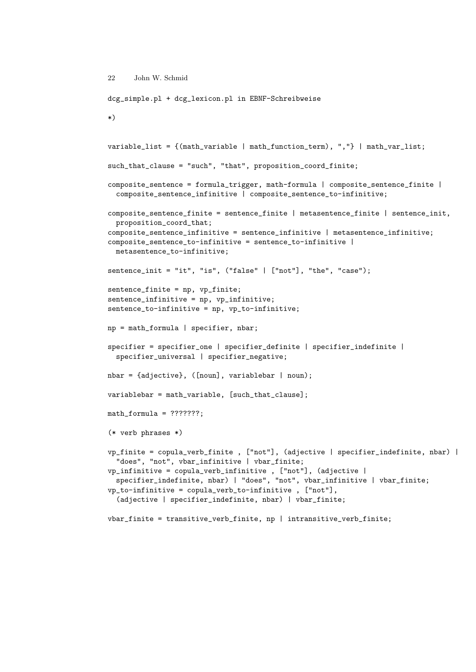```
22 John W. Schmid
dcg_simple.pl + dcg_lexicon.pl in EBNF-Schreibweise
*)
variable_list = {(math_variable | math_function_term), ","} | math_var_list;
such_that_clause = "such", "that", proposition_coord_finite;
composite_sentence = formula_trigger, math-formula | composite_sentence_finite |
  composite_sentence_infinitive | composite_sentence_to-infinitive;
composite_sentence_finite = sentence_finite | metasentence_finite | sentence_init,
  proposition_coord_that;
composite_sentence_infinitive = sentence_infinitive | metasentence_infinitive;
composite_sentence_to-infinitive = sentence_to-infinitive |
  metasentence_to-infinitive;
sentence_init = "it", "is", ("false" | ["not"], "the", "case");
sentence_finite = np, vp_finite;
sentence_infinitive = np, vp_infinitive;
sentence_to-infinitive = np, vp_to-infinitive;
np = math_formula | specifier, nbar;specifier = specifier_one | specifier_definite | specifier_indefinite |
  specifier_universal | specifier_negative;
nbar = {adjective}, ([noun], variablebar | noun);variablebar = math_variable, [such_that_clause];
math_formula = ???????;
(* verb phrases *)
vp_finite = copula_verb_finite , ["not"], (adjective | specifier_indefinite, nbar) |
  "does", "not", vbar_infinitive | vbar_finite;
vp_infinitive = copula_verb_infinitive , ["not"], (adjective |
  specifier_indefinite, nbar) | "does", "not", vbar_infinitive | vbar_finite;
vp_to-infinitive = copula_verb_to-infinitive , ["not"],
  (adjective | specifier_indefinite, nbar) | vbar_finite;
```
vbar\_finite = transitive\_verb\_finite, np | intransitive\_verb\_finite;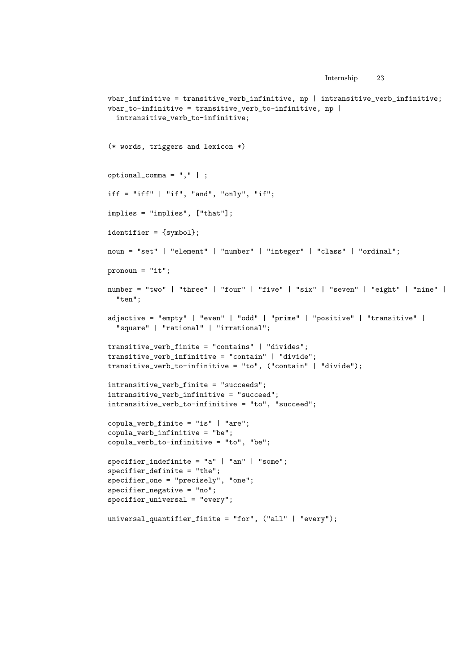```
Internship 23
vbar_infinitive = transitive_verb_infinitive, np | intransitive_verb_infinitive;
vbar_to-infinitive = transitive_verb_to-infinitive, np |
  intransitive_verb_to-infinitive;
(* words, triggers and lexicon *)
optional_comma = "," | ;
iff = "iff" | "if", "and", "only", "if";
implies = "implies", ["that"];
identifier = {symbol};
noun = "set" | "element" | "number" | "integer" | "class" | "ordinal";
pronoun = "it";
number = "two" | "three" | "four" | "five" | "six" | "seven" | "eight" | "nine" |
  "ten";
adjective = "empty" | "even" | "odd" | "prime" | "positive" | "transitive" |
  "square" | "rational" | "irrational";
transitive_verb_finite = "contains" | "divides";
transitive_verb_infinitive = "contain" | "divide";
transitive_verb_to-infinitive = "to", ("contain" | "divide");
intransitive_verb_finite = "succeeds";
intransitive_verb_infinitive = "succeed";
intransitive_verb_to-infinitive = "to", "succeed";
copula_verb_finite = "is" | "are";
copula_verb_infinitive = "be";
copula_verb_to-infinitive = "to", "be";
spectrier\_indefinite = "a" | "an" | "some";specifier_definite = "the";
specifier_one = "precisely", "one";
specifier_negative = "no";
specifier_universal = "every";
```
universal\_quantifier\_finite = "for", ("all" | "every");